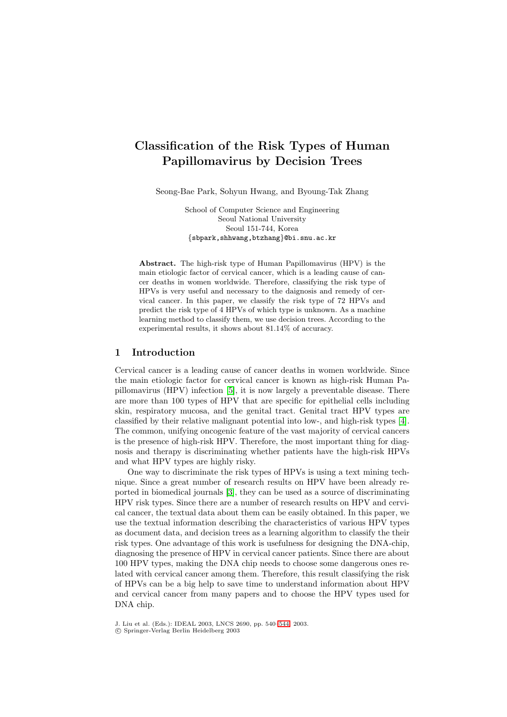# **Classification of the Risk Types of Human Papillomavirus by Decision Trees**

Seong-Bae Park, Sohyun Hwang, and Byoung-Tak Zhang

School of Computer Science and Engineering Seoul National University Seoul 151-744, Korea {sbpark,shhwang,btzhang}@bi.snu.ac.kr

**Abstract.** The high-risk type of Human Papillomavirus (HPV) is the main etiologic factor of cervical cancer, which is a leading cause of cancer deaths in women worldwide. Therefore, classifying the risk type of HPVs is very useful and necessary to the daignosis and remedy of cervical cancer. In this paper, we classify the risk type of 72 HPVs and predict the risk type of 4 HPVs of which type is unknown. As a machine learning method to classify them, we use decision trees. According to the experimental results, it shows about 81.14% of accuracy.

#### **1 Introduction**

Cervical cancer is a leading cause of cancer deaths in women worldwide. Since the main etiologic factor for cervical cancer is known as high-risk Human Papillomavirus (HPV) infection [\[5\]](#page-4-0), it is now largely a preventable disease. There are more than 100 types of HPV that are specific for epithelial cells including skin, respiratory mucosa, and the genital tract. Genital tract HPV types are classified by their relative malignant potential into low-, and high-risk types [\[4\]](#page-4-0). The common, unifying oncogenic feature of the vast majority of cervical cancers is the presence of high-risk HPV. Therefore, the most important thing for diagnosis and therapy is discriminating whether patients have the high-risk HPVs and what HPV types are highly risky.

One way to discriminate the risk types of HPVs is using a text mining technique. Since a great number of research results on HPV have been already reported in biomedical journals [\[3\]](#page-4-0), they can be used as a source of discriminating HPV risk types. Since there are a number of research results on HPV and cervical cancer, the textual data about them can be easily obtained. In this paper, we use the textual information describing the characteristics of various HPV types as document data, and decision trees as a learning algorithm to classify the their risk types. One advantage of this work is usefulness for designing the DNA-chip, diagnosing the presence of HPV in cervical cancer patients. Since there are about 100 HPV types, making the DNA chip needs to choose some dangerous ones related with cervical cancer among them. Therefore, this result classifying the risk of HPVs can be a big help to save time to understand information about HPV and cervical cancer from many papers and to choose the HPV types used for DNA chip.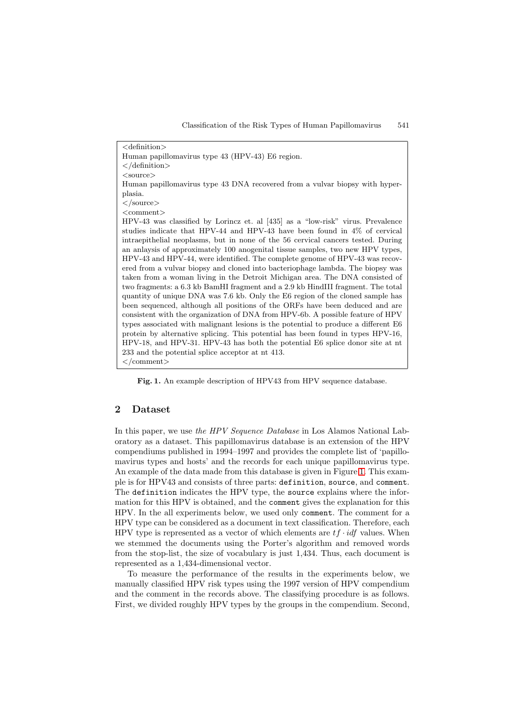<definition> Human papillomavirus type 43 (HPV-43) E6 region. </definition> <source> Human papillomavirus type 43 DNA recovered from a vulvar biopsy with hyperplasia.  $\langle$ /source $\rangle$ <comment> HPV-43 was classified by Lorincz et. al [435] as a "low-risk" virus. Prevalence studies indicate that HPV-44 and HPV-43 have been found in 4% of cervical intraepithelial neoplasms, but in none of the 56 cervical cancers tested. During an anlaysis of approximately 100 anogenital tissue samples, two new HPV types, HPV-43 and HPV-44, were identified. The complete genome of HPV-43 was recovered from a vulvar biopsy and cloned into bacteriophage lambda. The biopsy was taken from a woman living in the Detroit Michigan area. The DNA consisted of two fragments: a 6.3 kb BamHI fragment and a 2.9 kb HindIII fragment. The total quantity of unique DNA was 7.6 kb. Only the E6 region of the cloned sample has been sequenced, although all positions of the ORFs have been deduced and are consistent with the organization of DNA from HPV-6b. A possible feature of HPV types associated with malignant lesions is the potential to produce a different E6 protein by alternative splicing. This potential has been found in types HPV-16, HPV-18, and HPV-31. HPV-43 has both the potential E6 splice donor site at nt 233 and the potential splice acceptor at nt 413.  $\langle$  /comment>

Fig. 1. An example description of HPV43 from HPV sequence database.

## **2 Dataset**

In this paper, we use *the HPV Sequence Database* in Los Alamos National Laboratory as a dataset. This papillomavirus database is an extension of the HPV compendiums published in 1994–1997 and provides the complete list of 'papillomavirus types and hosts' and the records for each unique papillomavirus type. An example of the data made from this database is given in Figure 1. This example is for HPV43 and consists of three parts: definition, source, and comment. The definition indicates the HPV type, the source explains where the information for this HPV is obtained, and the comment gives the explanation for this HPV. In the all experiments below, we used only comment. The comment for a HPV type can be considered as a document in text classification. Therefore, each HPV type is represented as a vector of which elements are  $tf \cdot idf$  values. When we stemmed the documents using the Porter's algorithm and removed words from the stop-list, the size of vocabulary is just 1,434. Thus, each document is represented as a 1,434-dimensional vector.

To measure the performance of the results in the experiments below, we manually classified HPV risk types using the 1997 version of HPV compendium and the comment in the records above. The classifying procedure is as follows. First, we divided roughly HPV types by the groups in the compendium. Second,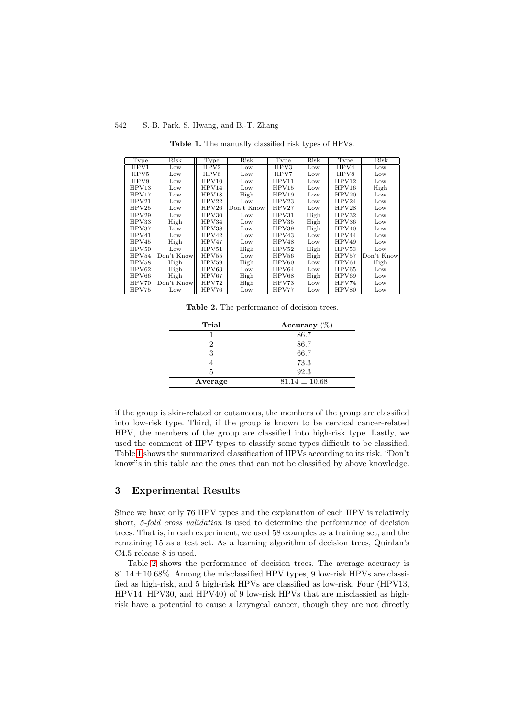<span id="page-2-0"></span>

| Type  | Risk       | Type  | Risk            | Type  | Risk | Type  | Risk       |
|-------|------------|-------|-----------------|-------|------|-------|------------|
| HPV1  | Low        | HPV2  | Low             | HPV3  | Low  | HPV4  | Low        |
| HPV5  | Low        | HPV6  | Low             | HPV7  | Low  | HPV8  | Low        |
| HPV9  | Low        | HPV10 | Low             | HPV11 | Low  | HPV12 | Low        |
| HPV13 | Low        | HPV14 | Low             | HPV15 | Low  | HPV16 | High       |
| HPV17 | Low        | HPV18 | High            | HPV19 | Low  | HPV20 | Low        |
| HPV21 | Low        | HPV22 | Low             | HPV23 | Low  | HPV24 | Low        |
| HPV25 | Low        | HPV26 | Don't Know      | HPV27 | Low  | HPV28 | Low        |
| HPV29 | Low        | HPV30 | $_{\text{Low}}$ | HPV31 | High | HPV32 | Low        |
| HPV33 | High       | HPV34 | Low             | HPV35 | High | HPV36 | Low        |
| HPV37 | Low        | HPV38 | Low             | HPV39 | High | HPV40 | Low        |
| HPV41 | Low        | HPV42 | Low             | HPV43 | Low  | HPV44 | Low        |
| HPV45 | High       | HPV47 | Low             | HPV48 | Low  | HPV49 | Low        |
| HPV50 | Low        | HPV51 | High            | HPV52 | High | HPV53 | Low        |
| HPV54 | Don't Know | HPV55 | Low             | HPV56 | High | HPV57 | Don't Know |
| HPV58 | High       | HPV59 | High            | HPV60 | Low  | HPV61 | High       |
| HPV62 | High       | HPV63 | Low             | HPV64 | Low  | HPV65 | Low        |
| HPV66 | High       | HPV67 | High            | HPV68 | High | HPV69 | Low        |
| HPV70 | Don't Know | HPV72 | High            | HPV73 | Low  | HPV74 | Low        |
| HPV75 | Low        | HPV76 | $_{\text{Low}}$ | HPV77 | Low  | HPV80 | Low        |

**Table 1.** The manually classified risk types of HPVs.

**Table 2.** The performance of decision trees.

| Trial   | Accuracy $(\%)$   |
|---------|-------------------|
|         | 86.7              |
| 9       | 86.7              |
| 3       | 66.7              |
|         | 73.3              |
| 5       | 92.3              |
| Average | $81.14 \pm 10.68$ |
|         |                   |

if the group is skin-related or cutaneous, the members of the group are classified into low-risk type. Third, if the group is known to be cervical cancer-related HPV, the members of the group are classified into high-risk type. Lastly, we used the comment of HPV types to classify some types difficult to be classified. Table 1 shows the summarized classification of HPVs according to its risk. "Don't know"s in this table are the ones that can not be classified by above knowledge.

#### **3 Experimental Results**

Since we have only 76 HPV types and the explanation of each HPV is relatively short, *5-fold cross validation* is used to determine the performance of decision trees. That is, in each experiment, we used 58 examples as a training set, and the remaining 15 as a test set. As a learning algorithm of decision trees, Quinlan's C4.5 release 8 is used.

Table 2 shows the performance of decision trees. The average accuracy is  $81.14 \pm 10.68\%$ . Among the misclassified HPV types, 9 low-risk HPVs are classified as high-risk, and 5 high-risk HPVs are classified as low-risk. Four (HPV13, HPV14, HPV30, and HPV40) of 9 low-risk HPVs that are misclassied as highrisk have a potential to cause a laryngeal cancer, though they are not directly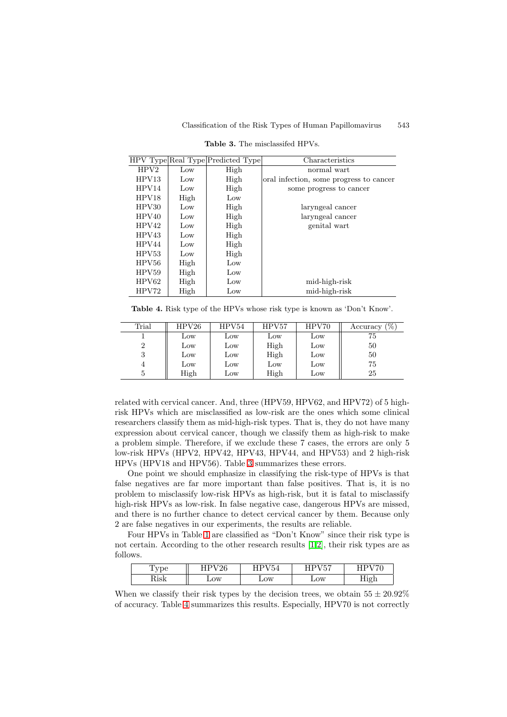<span id="page-3-0"></span>

|       |      | HPV Type Real Type Predicted Type | Characteristics                         |
|-------|------|-----------------------------------|-----------------------------------------|
| HPV2  | Low  | High                              | normal wart                             |
| HPV13 | Low  | High                              | oral infection, some progress to cancer |
| HPV14 | Low  | High                              | some progress to cancer                 |
| HPV18 | High | Low                               |                                         |
| HPV30 | Low  | High                              | laryngeal cancer                        |
| HPV40 | Low  | High                              | laryngeal cancer                        |
| HPV42 | Low  | High                              | genital wart                            |
| HPV43 | Low  | High                              |                                         |
| HPV44 | Low  | High                              |                                         |
| HPV53 | Low  | High                              |                                         |
| HPV56 | High | Low                               |                                         |
| HPV59 | High | Low                               |                                         |
| HPV62 | High | Low                               | mid-high-risk                           |
| HPV72 | High | Low                               | mid-high-risk                           |

**Table 3.** The misclassifed HPVs.

| <b>Table 4.</b> Risk type of the HPVs whose risk type is known as 'Don't Know'. |  |  |  |  |  |  |  |
|---------------------------------------------------------------------------------|--|--|--|--|--|--|--|
|                                                                                 |  |  |  |  |  |  |  |

| Trial | HPV26 | HPV54           | HPV57 | HPV70 | (%)<br>Accuracy |
|-------|-------|-----------------|-------|-------|-----------------|
|       | Low   | Low             | Low   | Low   | 75              |
| 2     | Low   | Low             | High  | Low   | 50              |
| 3     | Low   | Low             | High  | Low   | 50              |
| 4     | Low   | $_{\text{Low}}$ | Low   | Low   | 75              |
| 5     | High  | $_{\text{Low}}$ | High  | Low   | 25              |

related with cervical cancer. And, three (HPV59, HPV62, and HPV72) of 5 highrisk HPVs which are misclassified as low-risk are the ones which some clinical researchers classify them as mid-high-risk types. That is, they do not have many expression about cervical cancer, though we classify them as high-risk to make a problem simple. Therefore, if we exclude these 7 cases, the errors are only 5 low-risk HPVs (HPV2, HPV42, HPV43, HPV44, and HPV53) and 2 high-risk HPVs (HPV18 and HPV56). Table 3 summarizes these errors.

One point we should emphasize in classifying the risk-type of HPVs is that false negatives are far more important than false positives. That is, it is no problem to misclassify low-risk HPVs as high-risk, but it is fatal to misclassify high-risk HPVs as low-risk. In false negative case, dangerous HPVs are missed, and there is no further chance to detect cervical cancer by them. Because only 2 are false negatives in our experiments, the results are reliable.

Four HPVs in Table [1](#page-2-0) are classified as "Don't Know" since their risk type is not certain. According to the other research results [\[1,2\]](#page-4-0), their risk types are as follows.

| -                    | ZU           | $- - -$      | . <del>.</del><br>н<br>ບເ | $   -$ |
|----------------------|--------------|--------------|---------------------------|--------|
| ו הז<br><b>TANTZ</b> | $_{\rm Low}$ | $_{\rm Low}$ | OW                        |        |

When we classify their risk types by the decision trees, we obtain  $55 \pm 20.92\%$ of accuracy. Table 4 summarizes this results. Especially, HPV70 is not correctly